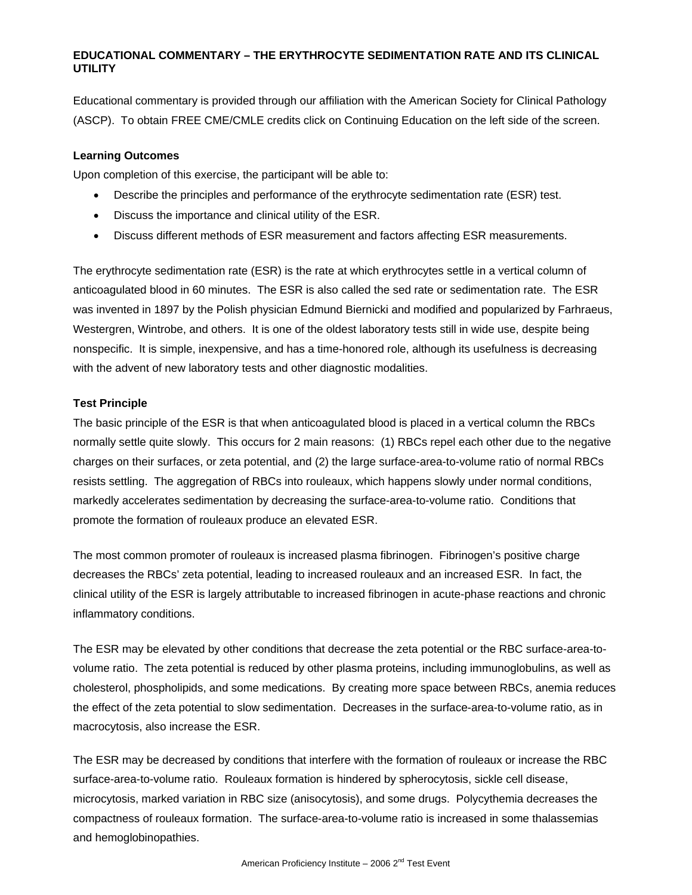Educational commentary is provided through our affiliation with the American Society for Clinical Pathology (ASCP). To obtain FREE CME/CMLE credits click on Continuing Education on the left side of the screen.

### **Learning Outcomes**

Upon completion of this exercise, the participant will be able to:

- Describe the principles and performance of the erythrocyte sedimentation rate (ESR) test.
- Discuss the importance and clinical utility of the ESR.
- Discuss different methods of ESR measurement and factors affecting ESR measurements.

The erythrocyte sedimentation rate (ESR) is the rate at which erythrocytes settle in a vertical column of anticoagulated blood in 60 minutes. The ESR is also called the sed rate or sedimentation rate. The ESR was invented in 1897 by the Polish physician Edmund Biernicki and modified and popularized by Farhraeus, Westergren, Wintrobe, and others. It is one of the oldest laboratory tests still in wide use, despite being nonspecific. It is simple, inexpensive, and has a time-honored role, although its usefulness is decreasing with the advent of new laboratory tests and other diagnostic modalities.

## **Test Principle**

The basic principle of the ESR is that when anticoagulated blood is placed in a vertical column the RBCs normally settle quite slowly. This occurs for 2 main reasons: (1) RBCs repel each other due to the negative charges on their surfaces, or zeta potential, and (2) the large surface-area-to-volume ratio of normal RBCs resists settling. The aggregation of RBCs into rouleaux, which happens slowly under normal conditions, markedly accelerates sedimentation by decreasing the surface-area-to-volume ratio. Conditions that promote the formation of rouleaux produce an elevated ESR.

The most common promoter of rouleaux is increased plasma fibrinogen. Fibrinogen's positive charge decreases the RBCs' zeta potential, leading to increased rouleaux and an increased ESR. In fact, the clinical utility of the ESR is largely attributable to increased fibrinogen in acute-phase reactions and chronic inflammatory conditions.

The ESR may be elevated by other conditions that decrease the zeta potential or the RBC surface-area-tovolume ratio. The zeta potential is reduced by other plasma proteins, including immunoglobulins, as well as cholesterol, phospholipids, and some medications. By creating more space between RBCs, anemia reduces the effect of the zeta potential to slow sedimentation. Decreases in the surface-area-to-volume ratio, as in macrocytosis, also increase the ESR.

The ESR may be decreased by conditions that interfere with the formation of rouleaux or increase the RBC surface-area-to-volume ratio. Rouleaux formation is hindered by spherocytosis, sickle cell disease, microcytosis, marked variation in RBC size (anisocytosis), and some drugs. Polycythemia decreases the compactness of rouleaux formation. The surface-area-to-volume ratio is increased in some thalassemias and hemoglobinopathies.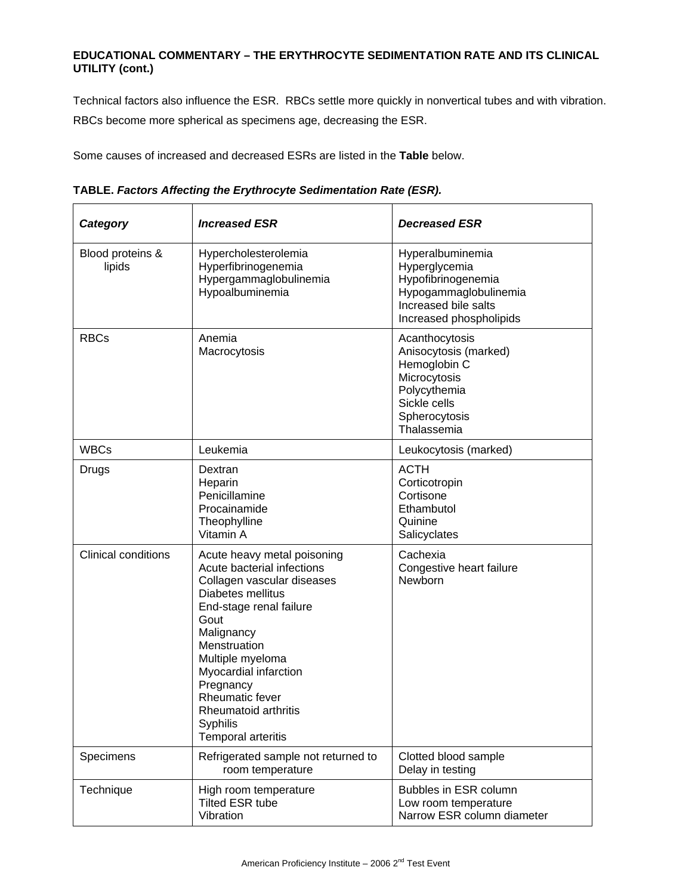Technical factors also influence the ESR. RBCs settle more quickly in nonvertical tubes and with vibration. RBCs become more spherical as specimens age, decreasing the ESR.

Some causes of increased and decreased ESRs are listed in the **Table** below.

|  |  |  | TABLE. Factors Affecting the Erythrocyte Sedimentation Rate (ESR). |  |  |
|--|--|--|--------------------------------------------------------------------|--|--|
|  |  |  |                                                                    |  |  |

| Category                   | <b>Increased ESR</b>                                                                                                                                                                                                                                                                                                 | <b>Decreased ESR</b>                                                                                                                    |
|----------------------------|----------------------------------------------------------------------------------------------------------------------------------------------------------------------------------------------------------------------------------------------------------------------------------------------------------------------|-----------------------------------------------------------------------------------------------------------------------------------------|
| Blood proteins &<br>lipids | Hypercholesterolemia<br>Hyperfibrinogenemia<br>Hypergammaglobulinemia<br>Hypoalbuminemia                                                                                                                                                                                                                             | Hyperalbuminemia<br>Hyperglycemia<br>Hypofibrinogenemia<br>Hypogammaglobulinemia<br>Increased bile salts<br>Increased phospholipids     |
| <b>RBCs</b>                | Anemia<br>Macrocytosis                                                                                                                                                                                                                                                                                               | Acanthocytosis<br>Anisocytosis (marked)<br>Hemoglobin C<br>Microcytosis<br>Polycythemia<br>Sickle cells<br>Spherocytosis<br>Thalassemia |
| <b>WBCs</b>                | Leukemia                                                                                                                                                                                                                                                                                                             | Leukocytosis (marked)                                                                                                                   |
| Drugs                      | Dextran<br>Heparin<br>Penicillamine<br>Procainamide<br>Theophylline<br>Vitamin A                                                                                                                                                                                                                                     | <b>ACTH</b><br>Corticotropin<br>Cortisone<br>Ethambutol<br>Quinine<br>Salicyclates                                                      |
| <b>Clinical conditions</b> | Acute heavy metal poisoning<br>Acute bacterial infections<br>Collagen vascular diseases<br>Diabetes mellitus<br>End-stage renal failure<br>Gout<br>Malignancy<br>Menstruation<br>Multiple myeloma<br>Myocardial infarction<br>Pregnancy<br>Rheumatic fever<br>Rheumatoid arthritis<br>Syphilis<br>Temporal arteritis | Cachexia<br>Congestive heart failure<br><b>Newborn</b>                                                                                  |
| Specimens                  | Refrigerated sample not returned to<br>room temperature                                                                                                                                                                                                                                                              | Clotted blood sample<br>Delay in testing                                                                                                |
| Technique                  | High room temperature<br><b>Tilted ESR tube</b><br>Vibration                                                                                                                                                                                                                                                         | Bubbles in ESR column<br>Low room temperature<br>Narrow ESR column diameter                                                             |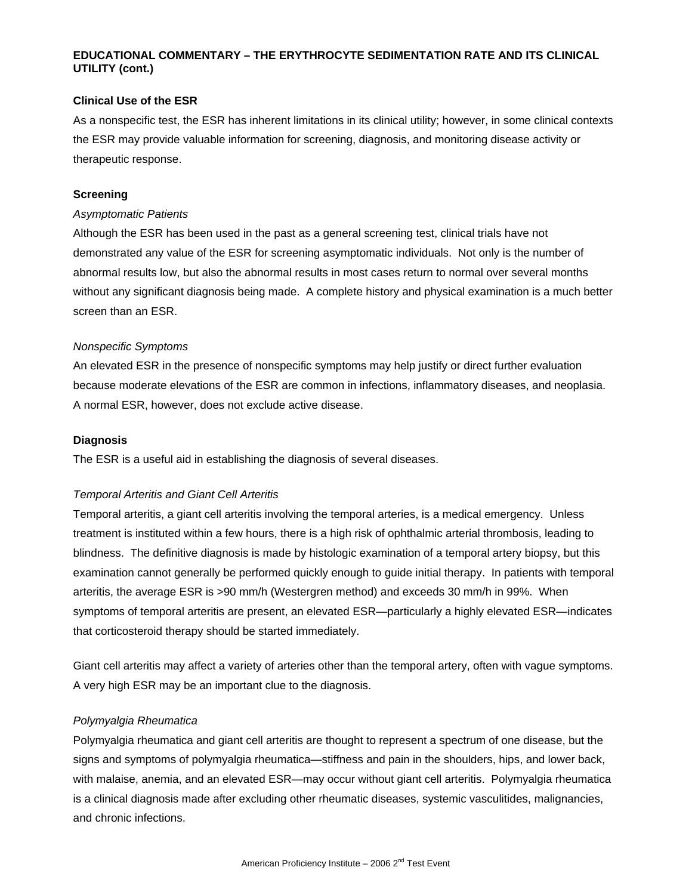### **Clinical Use of the ESR**

As a nonspecific test, the ESR has inherent limitations in its clinical utility; however, in some clinical contexts the ESR may provide valuable information for screening, diagnosis, and monitoring disease activity or therapeutic response.

### **Screening**

### *Asymptomatic Patients*

Although the ESR has been used in the past as a general screening test, clinical trials have not demonstrated any value of the ESR for screening asymptomatic individuals. Not only is the number of abnormal results low, but also the abnormal results in most cases return to normal over several months without any significant diagnosis being made. A complete history and physical examination is a much better screen than an ESR.

## *Nonspecific Symptoms*

An elevated ESR in the presence of nonspecific symptoms may help justify or direct further evaluation because moderate elevations of the ESR are common in infections, inflammatory diseases, and neoplasia. A normal ESR, however, does not exclude active disease.

## **Diagnosis**

The ESR is a useful aid in establishing the diagnosis of several diseases.

# *Temporal Arteritis and Giant Cell Arteritis*

Temporal arteritis, a giant cell arteritis involving the temporal arteries, is a medical emergency. Unless treatment is instituted within a few hours, there is a high risk of ophthalmic arterial thrombosis, leading to blindness. The definitive diagnosis is made by histologic examination of a temporal artery biopsy, but this examination cannot generally be performed quickly enough to guide initial therapy. In patients with temporal arteritis, the average ESR is >90 mm/h (Westergren method) and exceeds 30 mm/h in 99%. When symptoms of temporal arteritis are present, an elevated ESR—particularly a highly elevated ESR—indicates that corticosteroid therapy should be started immediately.

Giant cell arteritis may affect a variety of arteries other than the temporal artery, often with vague symptoms. A very high ESR may be an important clue to the diagnosis.

# *Polymyalgia Rheumatica*

Polymyalgia rheumatica and giant cell arteritis are thought to represent a spectrum of one disease, but the signs and symptoms of polymyalgia rheumatica—stiffness and pain in the shoulders, hips, and lower back, with malaise, anemia, and an elevated ESR—may occur without giant cell arteritis. Polymyalgia rheumatica is a clinical diagnosis made after excluding other rheumatic diseases, systemic vasculitides, malignancies, and chronic infections.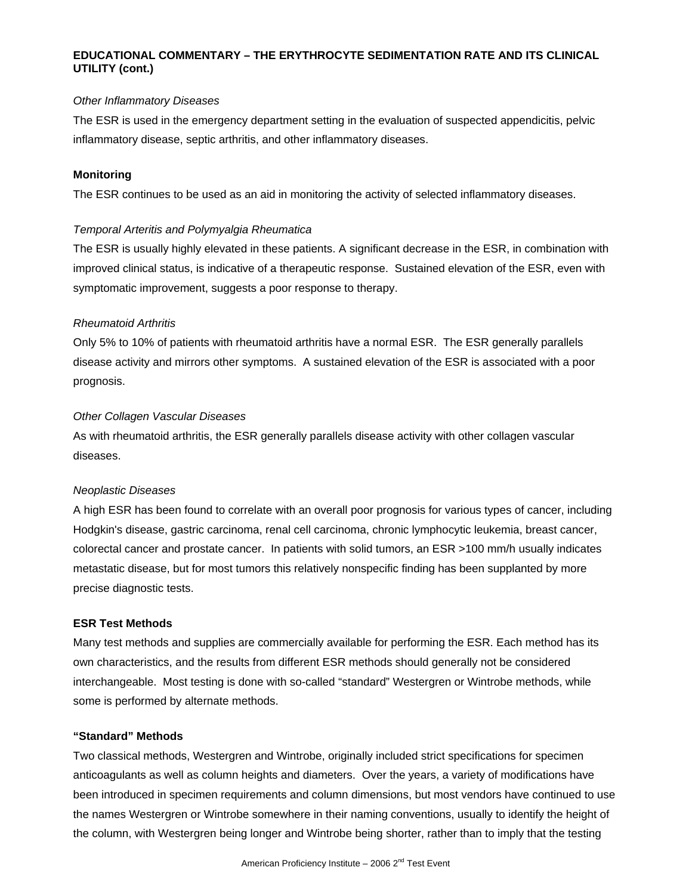### *Other Inflammatory Diseases*

The ESR is used in the emergency department setting in the evaluation of suspected appendicitis, pelvic inflammatory disease, septic arthritis, and other inflammatory diseases.

### **Monitoring**

The ESR continues to be used as an aid in monitoring the activity of selected inflammatory diseases.

#### *Temporal Arteritis and Polymyalgia Rheumatica*

The ESR is usually highly elevated in these patients. A significant decrease in the ESR, in combination with improved clinical status, is indicative of a therapeutic response. Sustained elevation of the ESR, even with symptomatic improvement, suggests a poor response to therapy.

#### *Rheumatoid Arthritis*

Only 5% to 10% of patients with rheumatoid arthritis have a normal ESR. The ESR generally parallels disease activity and mirrors other symptoms. A sustained elevation of the ESR is associated with a poor prognosis.

#### *Other Collagen Vascular Diseases*

As with rheumatoid arthritis, the ESR generally parallels disease activity with other collagen vascular diseases.

### *Neoplastic Diseases*

A high ESR has been found to correlate with an overall poor prognosis for various types of cancer, including Hodgkin's disease, gastric carcinoma, renal cell carcinoma, chronic lymphocytic leukemia, breast cancer, colorectal cancer and prostate cancer. In patients with solid tumors, an ESR >100 mm/h usually indicates metastatic disease, but for most tumors this relatively nonspecific finding has been supplanted by more precise diagnostic tests.

#### **ESR Test Methods**

Many test methods and supplies are commercially available for performing the ESR. Each method has its own characteristics, and the results from different ESR methods should generally not be considered interchangeable. Most testing is done with so-called "standard" Westergren or Wintrobe methods, while some is performed by alternate methods.

# **"Standard" Methods**

Two classical methods, Westergren and Wintrobe, originally included strict specifications for specimen anticoagulants as well as column heights and diameters. Over the years, a variety of modifications have been introduced in specimen requirements and column dimensions, but most vendors have continued to use the names Westergren or Wintrobe somewhere in their naming conventions, usually to identify the height of the column, with Westergren being longer and Wintrobe being shorter, rather than to imply that the testing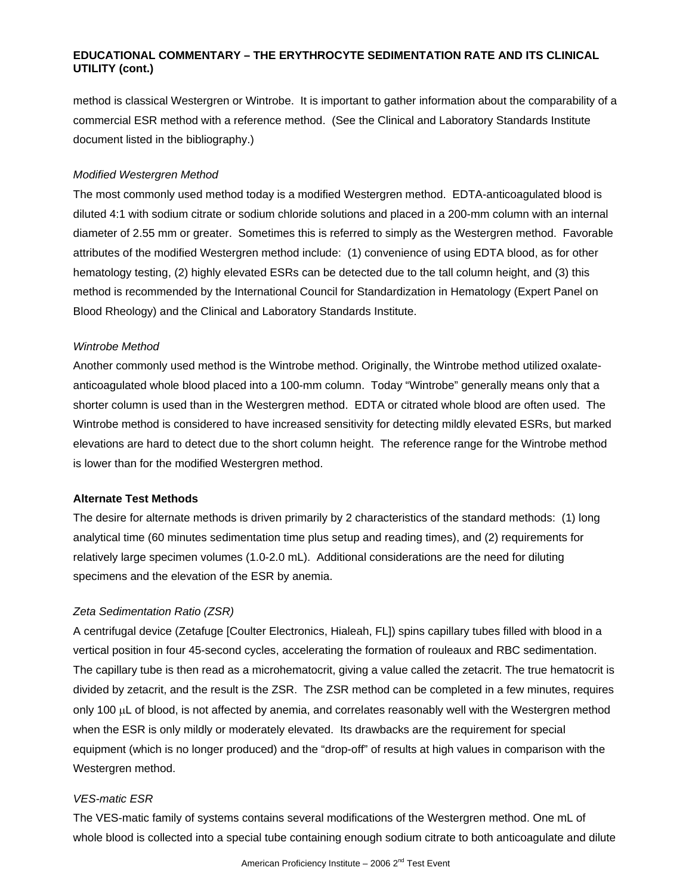method is classical Westergren or Wintrobe. It is important to gather information about the comparability of a commercial ESR method with a reference method. (See the Clinical and Laboratory Standards Institute document listed in the bibliography.)

#### *Modified Westergren Method*

The most commonly used method today is a modified Westergren method. EDTA-anticoagulated blood is diluted 4:1 with sodium citrate or sodium chloride solutions and placed in a 200-mm column with an internal diameter of 2.55 mm or greater. Sometimes this is referred to simply as the Westergren method. Favorable attributes of the modified Westergren method include: (1) convenience of using EDTA blood, as for other hematology testing, (2) highly elevated ESRs can be detected due to the tall column height, and (3) this method is recommended by the International Council for Standardization in Hematology (Expert Panel on Blood Rheology) and the Clinical and Laboratory Standards Institute.

#### *Wintrobe Method*

Another commonly used method is the Wintrobe method. Originally, the Wintrobe method utilized oxalateanticoagulated whole blood placed into a 100-mm column. Today "Wintrobe" generally means only that a shorter column is used than in the Westergren method. EDTA or citrated whole blood are often used. The Wintrobe method is considered to have increased sensitivity for detecting mildly elevated ESRs, but marked elevations are hard to detect due to the short column height. The reference range for the Wintrobe method is lower than for the modified Westergren method.

#### **Alternate Test Methods**

The desire for alternate methods is driven primarily by 2 characteristics of the standard methods: (1) long analytical time (60 minutes sedimentation time plus setup and reading times), and (2) requirements for relatively large specimen volumes (1.0-2.0 mL). Additional considerations are the need for diluting specimens and the elevation of the ESR by anemia.

#### *Zeta Sedimentation Ratio (ZSR)*

A centrifugal device (Zetafuge [Coulter Electronics, Hialeah, FL]) spins capillary tubes filled with blood in a vertical position in four 45-second cycles, accelerating the formation of rouleaux and RBC sedimentation. The capillary tube is then read as a microhematocrit, giving a value called the zetacrit. The true hematocrit is divided by zetacrit, and the result is the ZSR. The ZSR method can be completed in a few minutes, requires only 100 µL of blood, is not affected by anemia, and correlates reasonably well with the Westergren method when the ESR is only mildly or moderately elevated. Its drawbacks are the requirement for special equipment (which is no longer produced) and the "drop-off" of results at high values in comparison with the Westergren method.

#### *VES-matic ESR*

The VES-matic family of systems contains several modifications of the Westergren method. One mL of whole blood is collected into a special tube containing enough sodium citrate to both anticoagulate and dilute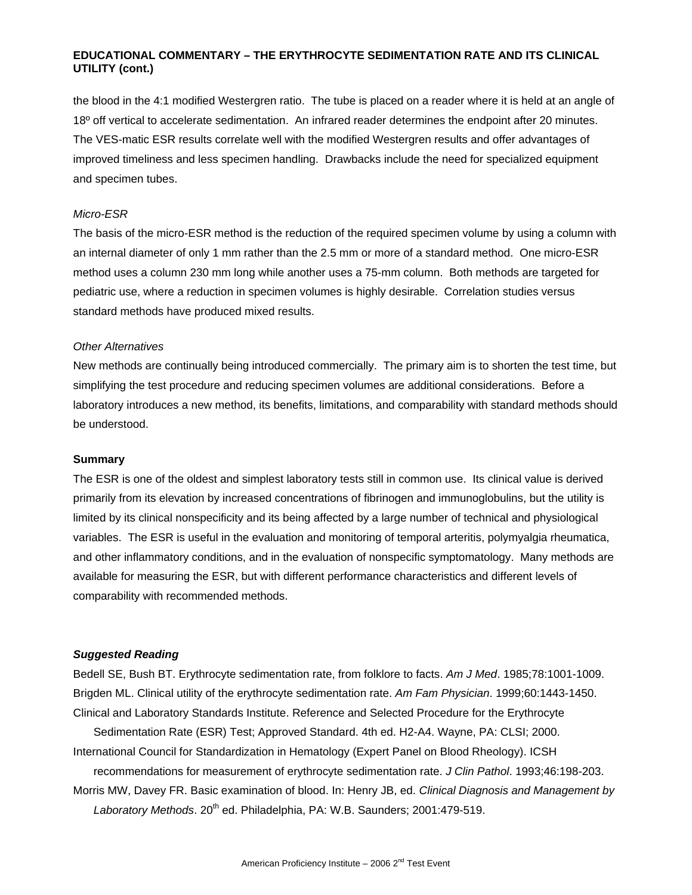the blood in the 4:1 modified Westergren ratio. The tube is placed on a reader where it is held at an angle of 18º off vertical to accelerate sedimentation. An infrared reader determines the endpoint after 20 minutes. The VES-matic ESR results correlate well with the modified Westergren results and offer advantages of improved timeliness and less specimen handling. Drawbacks include the need for specialized equipment and specimen tubes.

### *Micro-ESR*

The basis of the micro-ESR method is the reduction of the required specimen volume by using a column with an internal diameter of only 1 mm rather than the 2.5 mm or more of a standard method. One micro-ESR method uses a column 230 mm long while another uses a 75-mm column. Both methods are targeted for pediatric use, where a reduction in specimen volumes is highly desirable. Correlation studies versus standard methods have produced mixed results.

#### *Other Alternatives*

New methods are continually being introduced commercially. The primary aim is to shorten the test time, but simplifying the test procedure and reducing specimen volumes are additional considerations. Before a laboratory introduces a new method, its benefits, limitations, and comparability with standard methods should be understood.

#### **Summary**

The ESR is one of the oldest and simplest laboratory tests still in common use. Its clinical value is derived primarily from its elevation by increased concentrations of fibrinogen and immunoglobulins, but the utility is limited by its clinical nonspecificity and its being affected by a large number of technical and physiological variables. The ESR is useful in the evaluation and monitoring of temporal arteritis, polymyalgia rheumatica, and other inflammatory conditions, and in the evaluation of nonspecific symptomatology. Many methods are available for measuring the ESR, but with different performance characteristics and different levels of comparability with recommended methods.

#### *Suggested Reading*

Bedell SE, Bush BT. Erythrocyte sedimentation rate, from folklore to facts. *Am J Med*. 1985;78:1001-1009. Brigden ML. Clinical utility of the erythrocyte sedimentation rate. *Am Fam Physician*. 1999;60:1443-1450. Clinical and Laboratory Standards Institute. Reference and Selected Procedure for the Erythrocyte

Sedimentation Rate (ESR) Test; Approved Standard. 4th ed. H2-A4. Wayne, PA: CLSI; 2000. International Council for Standardization in Hematology (Expert Panel on Blood Rheology). ICSH

recommendations for measurement of erythrocyte sedimentation rate. *J Clin Pathol*. 1993;46:198-203. Morris MW, Davey FR. Basic examination of blood. In: Henry JB, ed. *Clinical Diagnosis and Management by*  Laboratory Methods. 20<sup>th</sup> ed. Philadelphia, PA: W.B. Saunders; 2001:479-519.